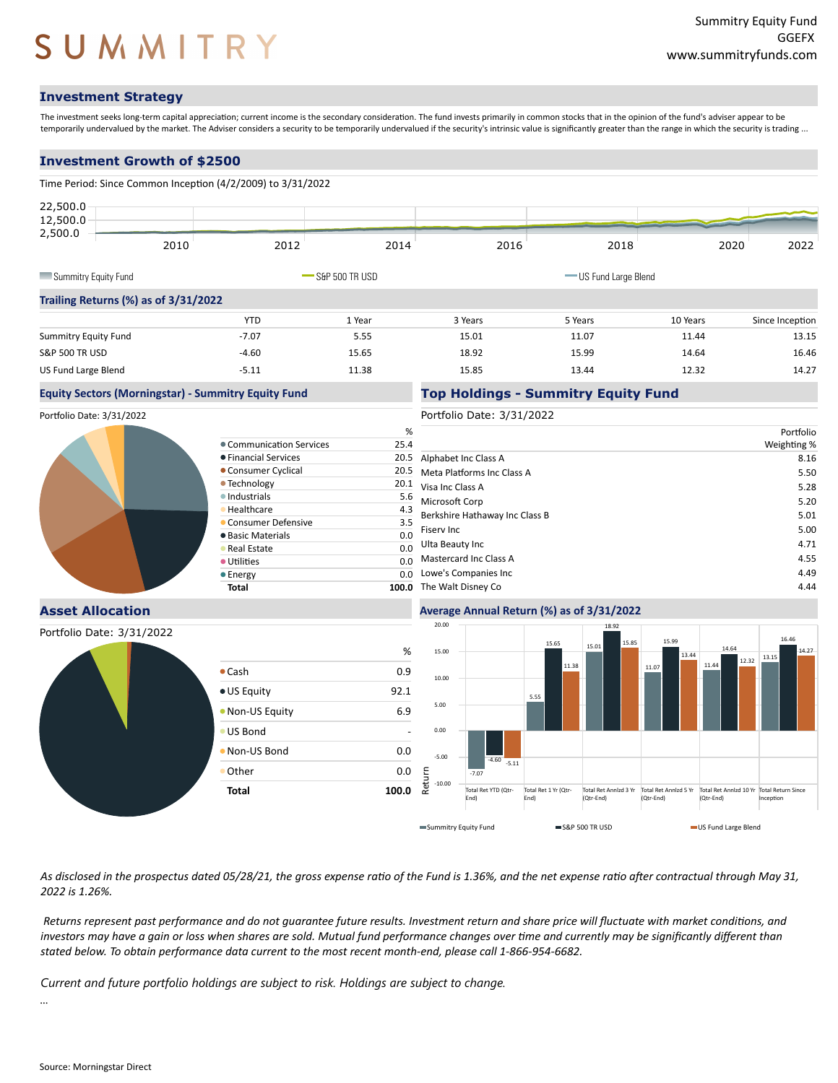# SUMMITRY

### **Investment Strategy**

The investment seeks long-term capital appreciation; current income is the secondary consideration. The fund invests primarily in common stocks that in the opinion of the fund's adviser appear to be temporarily undervalued by the market. The Adviser considers a security to be temporarily undervalued if the security's intrinsic value is significantly greater than the range in which the security is trading ...

#### **Investment Growth of \$2500**

| 2012                                 | 2014   | 2016                                                                              | 2018    |          | 2020                  | 2022            |
|--------------------------------------|--------|-----------------------------------------------------------------------------------|---------|----------|-----------------------|-----------------|
|                                      |        |                                                                                   |         |          |                       |                 |
| Trailing Returns (%) as of 3/31/2022 |        |                                                                                   |         |          |                       |                 |
| <b>YTD</b>                           | 1 Year | 3 Years                                                                           | 5 Years | 10 Years |                       | Since Inception |
| $-7.07$                              | 5.55   | 15.01                                                                             | 11.07   | 11.44    |                       | 13.15           |
| $-4.60$                              | 15.65  | 18.92                                                                             | 15.99   | 14.64    |                       | 16.46           |
| $-5.11$                              | 11.38  | 15.85                                                                             | 13.44   | 12.32    |                       | 14.27           |
|                                      |        | Time Period: Since Common Inception (4/2/2009) to 3/31/2022<br>$-$ S&P 500 TR USD |         |          | - US Fund Large Blend |                 |

#### **Equity Sectors (Morningstar) - Summitry Equity Fund**

Portfolio Date: 3/31/2022



#### **Asset Allocation**

Portfolio Date: 3/31/2022



|                          | 20.00    |                             | 18.92                        |                                    |                                    |                                     |
|--------------------------|----------|-----------------------------|------------------------------|------------------------------------|------------------------------------|-------------------------------------|
|                          |          |                             | 15.65                        | 15.85<br>15.01                     | 15.99                              | 14.64                               |
| %                        | 15.00    |                             | 11.38                        |                                    | 13.44                              | 12.32<br>11.44                      |
| Cash<br>0.9              | 10.00    |                             |                              |                                    | 11.07                              |                                     |
| <b>US Equity</b><br>92.1 |          |                             | 5.55                         |                                    |                                    |                                     |
| 6.9<br>Non-US Equity     | 5.00     |                             |                              |                                    |                                    |                                     |
| <b>US Bond</b>           | 0.00     |                             |                              |                                    |                                    |                                     |
| Non-US Bond<br>0.0       | $-5.00$  | $-4.60$                     |                              |                                    |                                    |                                     |
| Other<br>0.0             | Return   | $-5.11$<br>$-7.07$          |                              |                                    |                                    |                                     |
| <b>Total</b><br>100.0    | $-10.00$ | Total Ret YTD (Qtr-<br>End) | Total Ret 1 Yr (Qtr-<br>End) | Total Ret Annizd 3 Yr<br>(Qtr-End) | Total Ret Annizd 5 Yr<br>(Qtr-End) | Total Ret Annizd 10 Yr<br>(Qtr-End) |
|                          |          | Summitry Equity Fund        |                              | S&P 500 TR USD                     |                                    | US Fund Large Blend                 |

As disclosed in the prospectus dated 05/28/21, the gross expense ratio of the Fund is 1.36%, and the net expense ratio after contractual through May 31, *2022 is 1.26%.*

*Returns represent past performance and do not guarantee future results. Investment return and share price will fluctuate with market condi�ons, and* investors may have a gain or loss when shares are sold. Mutual fund performance changes over time and currently may be significantly different than stated below. To obtain performance data current to the most recent month-end, please call 1-866-954-6682.

Current and future portfolio holdings are subject to risk. Holdings are subject to change.

Communication Services Financial Services 20.5 **Consumer Cyclical • Technology**  $\bullet$  Industrials **• Healthcare Consumer Defensive Basic Materials Real Estate**  $\bullet$  Utilities **Energy** 

...

#### Portfolio Date: 3/31/2022

**Top Holdings - Summitry Equity Fund**

**Average Annual Return (%) as of 3/31/2022**

|                           | %    |                                | Portfolio   |
|---------------------------|------|--------------------------------|-------------|
| Communication Services    | 25.4 |                                | Weighting % |
| <b>Financial Services</b> | 20.5 | Alphabet Inc Class A           | 8.16        |
| Consumer Cyclical         | 20.5 | Meta Platforms Inc Class A     | 5.50        |
| Technology                | 20.1 | Visa Inc Class A               | 5.28        |
| Industrials               | 5.6  | Microsoft Corp                 | 5.20        |
| Healthcare                | 4.3  | Berkshire Hathaway Inc Class B | 5.01        |
| Consumer Defensive        | 3.5  |                                |             |
| <b>Basic Materials</b>    | 0.0  | Fisery Inc                     | 5.00        |
| <b>Real Estate</b>        | 0.0  | Ulta Beauty Inc                | 4.71        |
| <b>Utilities</b>          | 0.0  | Mastercard Inc Class A         | 4.55        |
| Energy                    | 0.0  | Lowe's Companies Inc           | 4.49        |
| Total                     |      | 100.0 The Walt Disney Co       | 4.44        |

Total Ret Annizd 10 Yr Total Return Since<br>(Qtr-End) lnception

13.15

16.46

14.27